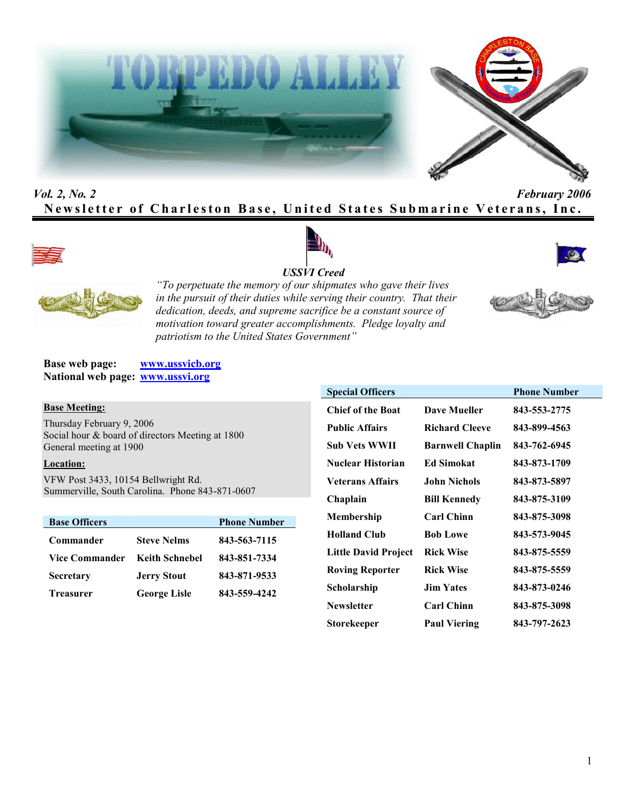



# *Vol. 2, No. 2 February 2006* **Newsletter of Charleston Base, United States Submarine Veterans, Inc.**









*"To perpetuate the memory of our shipmates who gave their lives in the pursuit of their duties while serving their country. That their dedication, deeds, and supreme sacrifice be a constant source of motivation toward greater accomplishments. Pledge loyalty and patriotism to the United States Government"*

**Base web page: www.ussvicb.org National web page: www.ussvi.org**

#### **Base Meeting:**

Thursday February 9, 2006 Social hour & board of directors Meeting at 1800 General meeting at 1900

### **Location:**

VFW Post 3433, 10154 Bellwright Rd. Summerville, South Carolina. Phone 843-871-0607

| <b>Base Officers</b>  |                       | <b>Phone Number</b> |
|-----------------------|-----------------------|---------------------|
| Commander             | <b>Steve Nelms</b>    | 843-563-7115        |
| <b>Vice Commander</b> | <b>Keith Schnebel</b> | 843-851-7334        |
| <b>Secretary</b>      | <b>Jerry Stout</b>    | 843-871-9533        |
| <b>Treasurer</b>      | <b>George Lisle</b>   | 843-559-4242        |

| <b>Special Officers</b>     |                         | <b>Phone Number</b> |
|-----------------------------|-------------------------|---------------------|
| <b>Chief of the Boat</b>    | <b>Dave Mueller</b>     | 843-553-2775        |
| <b>Public Affairs</b>       | <b>Richard Cleeve</b>   | 843-899-4563        |
| Sub Vets WWII               | <b>Barnwell Chaplin</b> | 843-762-6945        |
| <b>Nuclear Historian</b>    | <b>Ed Simokat</b>       | 843-873-1709        |
| <b>Veterans Affairs</b>     | <b>John Nichols</b>     | 843-873-5897        |
| Chaplain                    | <b>Bill Kennedy</b>     | 843-875-3109        |
| Membership                  | <b>Carl Chinn</b>       | 843-875-3098        |
| <b>Holland Club</b>         | <b>Bob Lowe</b>         | 843-573-9045        |
| <b>Little David Project</b> | <b>Rick Wise</b>        | 843-875-5559        |
| <b>Roving Reporter</b>      | <b>Rick Wise</b>        | 843-875-5559        |
| Scholarship                 | <b>Jim Yates</b>        | 843-873-0246        |
| <b>Newsletter</b>           | <b>Carl Chinn</b>       | 843-875-3098        |
| Storekeeper                 | <b>Paul Viering</b>     | 843-797-2623        |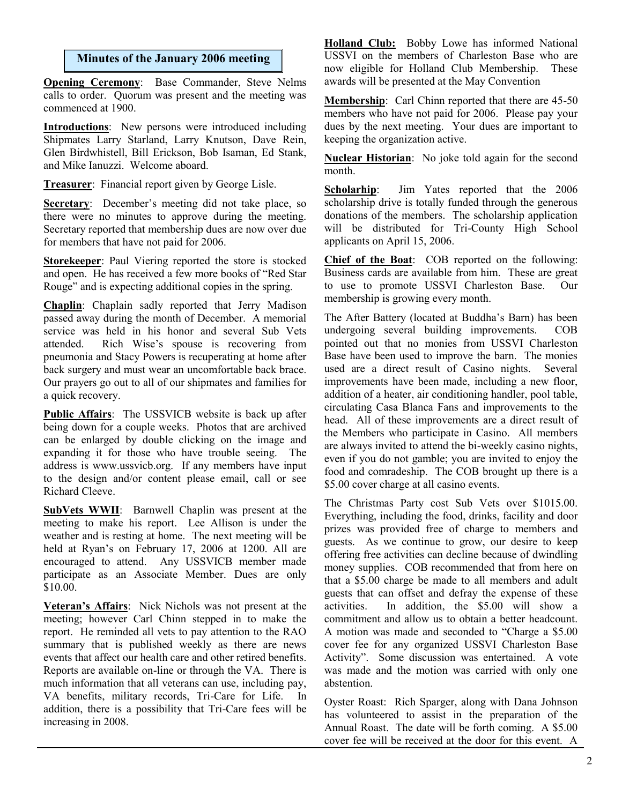## **Minutes of the January 2006 meeting**

**Opening Ceremony**: Base Commander, Steve Nelms calls to order. Quorum was present and the meeting was commenced at 1900.

**Introductions**: New persons were introduced including Shipmates Larry Starland, Larry Knutson, Dave Rein, Glen Birdwhistell, Bill Erickson, Bob Isaman, Ed Stank, and Mike Ianuzzi. Welcome aboard.

**Treasurer**: Financial report given by George Lisle.

**Secretary**: December's meeting did not take place, so there were no minutes to approve during the meeting. Secretary reported that membership dues are now over due for members that have not paid for 2006.

**Storekeeper**: Paul Viering reported the store is stocked and open. He has received a few more books of "Red Star Rouge" and is expecting additional copies in the spring.

**Chaplin**: Chaplain sadly reported that Jerry Madison passed away during the month of December. A memorial service was held in his honor and several Sub Vets attended. Rich Wise's spouse is recovering from pneumonia and Stacy Powers is recuperating at home after back surgery and must wear an uncomfortable back brace. Our prayers go out to all of our shipmates and families for a quick recovery.

**Public Affairs**: The USSVICB website is back up after being down for a couple weeks. Photos that are archived can be enlarged by double clicking on the image and expanding it for those who have trouble seeing. The address is www.ussvicb.org. If any members have input to the design and/or content please email, call or see Richard Cleeve.

**SubVets WWII**: Barnwell Chaplin was present at the meeting to make his report. Lee Allison is under the weather and is resting at home. The next meeting will be held at Ryan's on February 17, 2006 at 1200. All are encouraged to attend. Any USSVICB member made participate as an Associate Member. Dues are only \$10.00.

**Veteran's Affairs**: Nick Nichols was not present at the meeting; however Carl Chinn stepped in to make the report. He reminded all vets to pay attention to the RAO summary that is published weekly as there are news events that affect our health care and other retired benefits. Reports are available on-line or through the VA. There is much information that all veterans can use, including pay, VA benefits, military records, Tri-Care for Life. In addition, there is a possibility that Tri-Care fees will be increasing in 2008.

**Holland Club:** Bobby Lowe has informed National USSVI on the members of Charleston Base who are now eligible for Holland Club Membership. These awards will be presented at the May Convention

**Membership**: Carl Chinn reported that there are 45-50 members who have not paid for 2006. Please pay your dues by the next meeting. Your dues are important to keeping the organization active.

**Nuclear Historian**: No joke told again for the second month.

**Scholarhip**: Jim Yates reported that the 2006 scholarship drive is totally funded through the generous donations of the members. The scholarship application will be distributed for Tri-County High School applicants on April 15, 2006.

**Chief of the Boat**: COB reported on the following: Business cards are available from him. These are great to use to promote USSVI Charleston Base. Our membership is growing every month.

The After Battery (located at Buddha's Barn) has been undergoing several building improvements. COB pointed out that no monies from USSVI Charleston Base have been used to improve the barn. The monies used are a direct result of Casino nights. Several improvements have been made, including a new floor, addition of a heater, air conditioning handler, pool table, circulating Casa Blanca Fans and improvements to the head. All of these improvements are a direct result of the Members who participate in Casino. All members are always invited to attend the bi-weekly casino nights, even if you do not gamble; you are invited to enjoy the food and comradeship. The COB brought up there is a \$5.00 cover charge at all casino events.

The Christmas Party cost Sub Vets over \$1015.00. Everything, including the food, drinks, facility and door prizes was provided free of charge to members and guests. As we continue to grow, our desire to keep offering free activities can decline because of dwindling money supplies. COB recommended that from here on that a \$5.00 charge be made to all members and adult guests that can offset and defray the expense of these activities. In addition, the \$5.00 will show a commitment and allow us to obtain a better headcount. A motion was made and seconded to "Charge a \$5.00 cover fee for any organized USSVI Charleston Base Activity". Some discussion was entertained. A vote was made and the motion was carried with only one abstention.

Oyster Roast: Rich Sparger, along with Dana Johnson has volunteered to assist in the preparation of the Annual Roast. The date will be forth coming. A \$5.00 cover fee will be received at the door for this event. A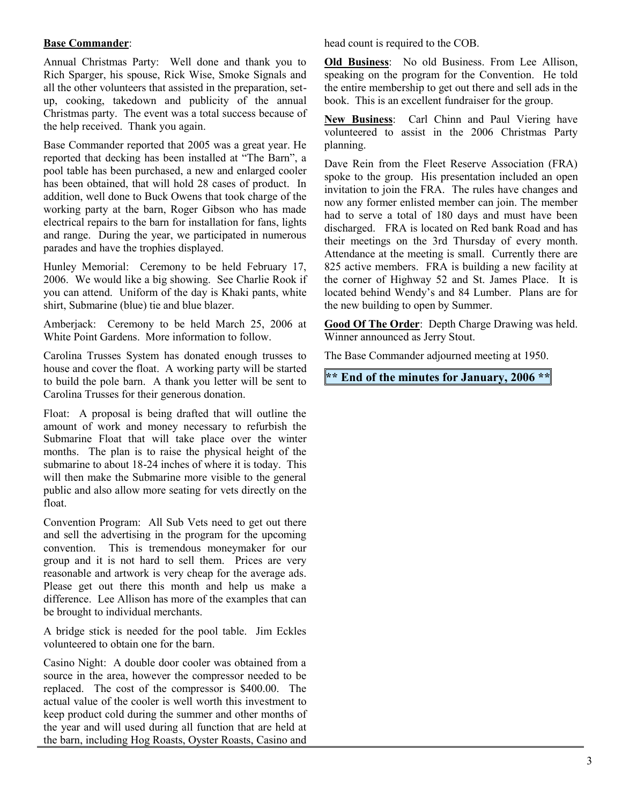## **Base Commander**:

Annual Christmas Party: Well done and thank you to Rich Sparger, his spouse, Rick Wise, Smoke Signals and all the other volunteers that assisted in the preparation, setup, cooking, takedown and publicity of the annual Christmas party. The event was a total success because of the help received. Thank you again.

Base Commander reported that 2005 was a great year. He reported that decking has been installed at "The Barn", a pool table has been purchased, a new and enlarged cooler has been obtained, that will hold 28 cases of product. In addition, well done to Buck Owens that took charge of the working party at the barn, Roger Gibson who has made electrical repairs to the barn for installation for fans, lights and range. During the year, we participated in numerous parades and have the trophies displayed.

Hunley Memorial: Ceremony to be held February 17, 2006. We would like a big showing. See Charlie Rook if you can attend. Uniform of the day is Khaki pants, white shirt, Submarine (blue) tie and blue blazer.

Amberjack: Ceremony to be held March 25, 2006 at White Point Gardens. More information to follow.

Carolina Trusses System has donated enough trusses to house and cover the float. A working party will be started to build the pole barn. A thank you letter will be sent to Carolina Trusses for their generous donation.

Float: A proposal is being drafted that will outline the amount of work and money necessary to refurbish the Submarine Float that will take place over the winter months. The plan is to raise the physical height of the submarine to about 18-24 inches of where it is today. This will then make the Submarine more visible to the general public and also allow more seating for vets directly on the float.

Convention Program: All Sub Vets need to get out there and sell the advertising in the program for the upcoming convention. This is tremendous moneymaker for our group and it is not hard to sell them. Prices are very reasonable and artwork is very cheap for the average ads. Please get out there this month and help us make a difference. Lee Allison has more of the examples that can be brought to individual merchants.

A bridge stick is needed for the pool table. Jim Eckles volunteered to obtain one for the barn.

Casino Night: A double door cooler was obtained from a source in the area, however the compressor needed to be replaced. The cost of the compressor is \$400.00. The actual value of the cooler is well worth this investment to keep product cold during the summer and other months of the year and will used during all function that are held at the barn, including Hog Roasts, Oyster Roasts, Casino and head count is required to the COB.

**Old Business**: No old Business. From Lee Allison, speaking on the program for the Convention. He told the entire membership to get out there and sell ads in the book. This is an excellent fundraiser for the group.

**New Business**: Carl Chinn and Paul Viering have volunteered to assist in the 2006 Christmas Party planning.

Dave Rein from the Fleet Reserve Association (FRA) spoke to the group. His presentation included an open invitation to join the FRA. The rules have changes and now any former enlisted member can join. The member had to serve a total of 180 days and must have been discharged. FRA is located on Red bank Road and has their meetings on the 3rd Thursday of every month. Attendance at the meeting is small. Currently there are 825 active members. FRA is building a new facility at the corner of Highway 52 and St. James Place. It is located behind Wendy's and 84 Lumber. Plans are for the new building to open by Summer.

**Good Of The Order**: Depth Charge Drawing was held. Winner announced as Jerry Stout.

The Base Commander adjourned meeting at 1950.

**\*\* End of the minutes for January, 2006 \*\***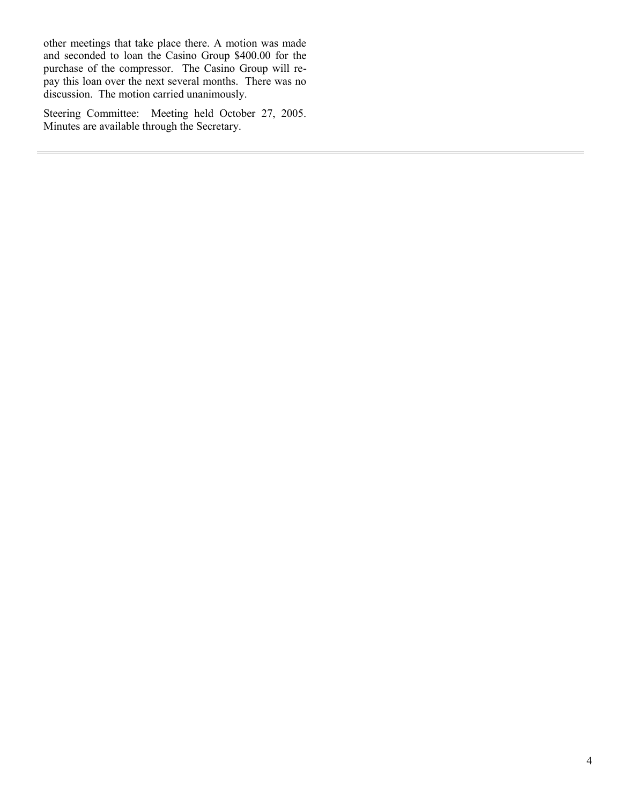other meetings that take place there. A motion was made and seconded to loan the Casino Group \$400.00 for the purchase of the compressor. The Casino Group will repay this loan over the next several months. There was no discussion. The motion carried unanimously.

Steering Committee: Meeting held October 27, 2005. Minutes are available through the Secretary.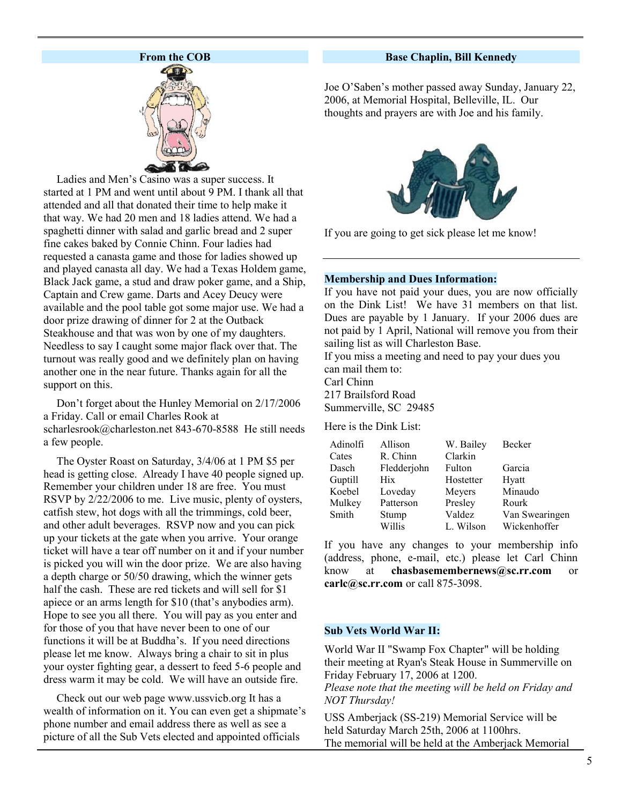## **From the COB**



Ladies and Men's Casino was a super success. It started at 1 PM and went until about 9 PM. I thank all that attended and all that donated their time to help make it that way. We had 20 men and 18 ladies attend. We had a spaghetti dinner with salad and garlic bread and 2 super fine cakes baked by Connie Chinn. Four ladies had requested a canasta game and those for ladies showed up and played canasta all day. We had a Texas Holdem game, Black Jack game, a stud and draw poker game, and a Ship, Captain and Crew game. Darts and Acey Deucy were available and the pool table got some major use. We had a door prize drawing of dinner for 2 at the Outback Steakhouse and that was won by one of my daughters. Needless to say I caught some major flack over that. The turnout was really good and we definitely plan on having another one in the near future. Thanks again for all the support on this.

Don't forget about the Hunley Memorial on 2/17/2006 a Friday. Call or email Charles Rook at scharlesrook@charleston.net 843-670-8588 He still needs a few people.

The Oyster Roast on Saturday, 3/4/06 at 1 PM \$5 per head is getting close. Already I have 40 people signed up. Remember your children under 18 are free. You must RSVP by  $2/22/2006$  to me. Live music, plenty of oysters, catfish stew, hot dogs with all the trimmings, cold beer, and other adult beverages. RSVP now and you can pick up your tickets at the gate when you arrive. Your orange ticket will have a tear off number on it and if your number is picked you will win the door prize. We are also having a depth charge or 50/50 drawing, which the winner gets half the cash. These are red tickets and will sell for \$1 apiece or an arms length for \$10 (that's anybodies arm). Hope to see you all there. You will pay as you enter and for those of you that have never been to one of our functions it will be at Buddha's. If you need directions please let me know. Always bring a chair to sit in plus your oyster fighting gear, a dessert to feed 5-6 people and dress warm it may be cold. We will have an outside fire.

Check out our web page www.ussvicb.org It has a wealth of information on it. You can even get a shipmate's phone number and email address there as well as see a picture of all the Sub Vets elected and appointed officials

#### **Base Chaplin, Bill Kennedy**

Joe O'Saben's mother passed away Sunday, January 22, 2006, at Memorial Hospital, Belleville, IL. Our thoughts and prayers are with Joe and his family.



If you are going to get sick please let me know!

#### **Membership and Dues Information:**

If you have not paid your dues, you are now officially on the Dink List! We have 31 members on that list. Dues are payable by 1 January. If your 2006 dues are not paid by 1 April, National will remove you from their sailing list as will Charleston Base.

If you miss a meeting and need to pay your dues you can mail them to: Carl Chinn 217 Brailsford Road

Summerville, SC 29485

Here is the Dink List:

| Adinolfi | Allison     | W. Bailey | Becker         |
|----------|-------------|-----------|----------------|
| Cates    | R. Chinn    | Clarkin   |                |
| Dasch    | Fledderjohn | Fulton    | Garcia         |
| Guptill  | <b>Hix</b>  | Hostetter | Hyatt          |
| Koebel   | Loveday     | Meyers    | Minaudo        |
| Mulkey   | Patterson   | Presley   | Rourk          |
| Smith    | Stump       | Valdez    | Van Swearingen |
|          | Willis      | L. Wilson | Wickenhoffer   |

If you have any changes to your membership info (address, phone, e-mail, etc.) please let Carl Chinn know at **chasbasemembernews@sc.rr.com** or **carlc@sc.rr.com** or call 875-3098.

#### **Sub Vets World War II:**

World War II "Swamp Fox Chapter" will be holding their meeting at Ryan's Steak House in Summerville on Friday February 17, 2006 at 1200.

*Please note that the meeting will be held on Friday and NOT Thursday!*

USS Amberjack (SS-219) Memorial Service will be held Saturday March 25th, 2006 at 1100hrs. The memorial will be held at the Amberjack Memorial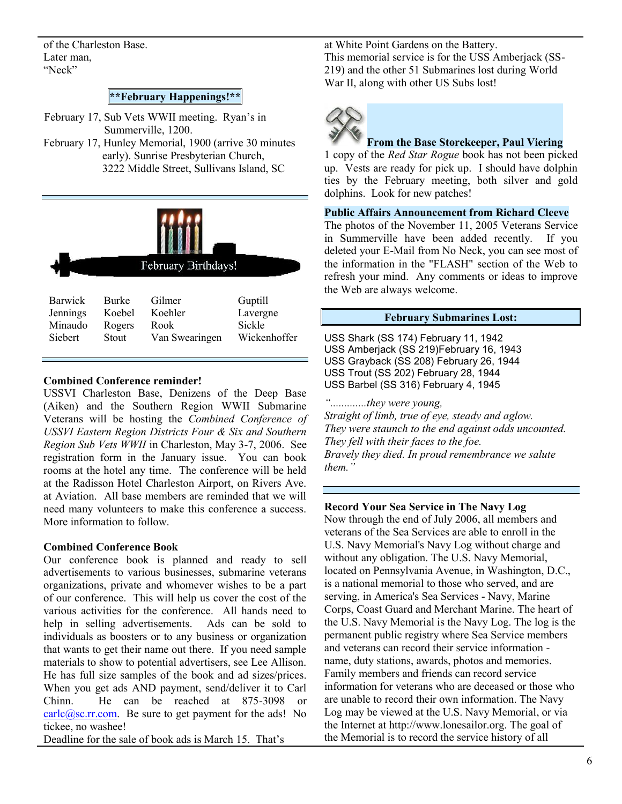of the Charleston Base. Later man, "Neck"

## **\*\*February Happenings!\*\***

February 17, Sub Vets WWII meeting. Ryan's in Summerville, 1200.

February 17, Hunley Memorial, 1900 (arrive 30 minutes early). Sunrise Presbyterian Church, 3222 Middle Street, Sullivans Island, SC



#### **Combined Conference reminder!**

USSVI Charleston Base, Denizens of the Deep Base (Aiken) and the Southern Region WWII Submarine Veterans will be hosting the *Combined Conference of USSVI Eastern Region Districts Four & Six and Southern Region Sub Vets WWII* in Charleston, May 3-7, 2006. See registration form in the January issue. You can book rooms at the hotel any time. The conference will be held at the Radisson Hotel Charleston Airport, on Rivers Ave. at Aviation. All base members are reminded that we will need many volunteers to make this conference a success. More information to follow.

#### **Combined Conference Book**

Our conference book is planned and ready to sell advertisements to various businesses, submarine veterans organizations, private and whomever wishes to be a part of our conference. This will help us cover the cost of the various activities for the conference. All hands need to help in selling advertisements. Ads can be sold to individuals as boosters or to any business or organization that wants to get their name out there. If you need sample materials to show to potential advertisers, see Lee Allison. He has full size samples of the book and ad sizes/prices. When you get ads AND payment, send/deliver it to Carl Chinn. He can be reached at 875-3098 or  $\frac{\text{carlc}(\hat{a})$ sc.rr.com. Be sure to get payment for the ads! No tickee, no washee!

Deadline for the sale of book ads is March 15. That's

at White Point Gardens on the Battery. This memorial service is for the USS Amberjack (SS-219) and the other 51 Submarines lost during World War II, along with other US Subs lost!



#### **From the Base Storekeeper, Paul Viering**

1 copy of the *Red Star Rogue* book has not been picked up. Vests are ready for pick up. I should have dolphin ties by the February meeting, both silver and gold dolphins. Look for new patches!

#### **Public Affairs Announcement from Richard Cleeve**

The photos of the November 11, 2005 Veterans Service in Summerville have been added recently. If you deleted your E-Mail from No Neck, you can see most of the information in the "FLASH" section of the Web to refresh your mind. Any comments or ideas to improve the Web are always welcome.

## **February Submarines Lost:**

USS Shark (SS 174) February 11, 1942 USS Amberjack (SS 219)February 16, 1943 USS Grayback (SS 208) February 26, 1944 USS Trout (SS 202) February 28, 1944 USS Barbel (SS 316) February 4, 1945

*".............they were young,*

*Straight of limb, true of eye, steady and aglow. They were staunch to the end against odds uncounted. They fell with their faces to the foe. Bravely they died. In proud remembrance we salute them."*

#### **Record Your Sea Service in The Navy Log**

Now through the end of July 2006, all members and veterans of the Sea Services are able to enroll in the U.S. Navy Memorial's Navy Log without charge and without any obligation. The U.S. Navy Memorial, located on Pennsylvania Avenue, in Washington, D.C., is a national memorial to those who served, and are serving, in America's Sea Services - Navy, Marine Corps, Coast Guard and Merchant Marine. The heart of the U.S. Navy Memorial is the Navy Log. The log is the permanent public registry where Sea Service members and veterans can record their service information name, duty stations, awards, photos and memories. Family members and friends can record service information for veterans who are deceased or those who are unable to record their own information. The Navy Log may be viewed at the U.S. Navy Memorial, or via the Internet at http://www.lonesailor.org. The goal of the Memorial is to record the service history of all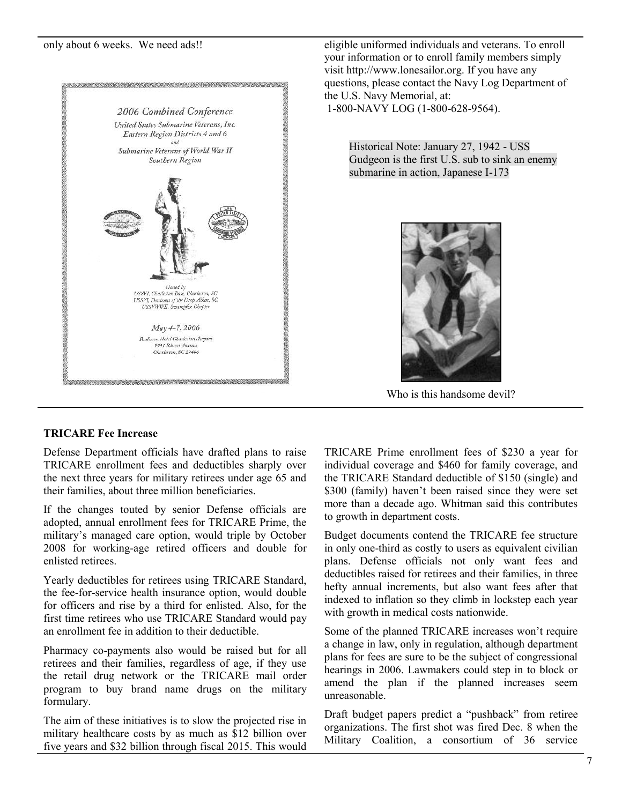

only about 6 weeks. We need ads!! eligible uniformed individuals and veterans. To enroll your information or to enroll family members simply visit http://www.lonesailor.org. If you have any questions, please contact the Navy Log Department of the U.S. Navy Memorial, at: 1-800-NAVY LOG (1-800-628-9564).

> Historical Note: January 27, 1942 - USS Gudgeon is the first U.S. sub to sink an enemy submarine in action, Japanese I-173



Who is this handsome devil?

## **TRICARE Fee Increase**

Defense Department officials have drafted plans to raise TRICARE enrollment fees and deductibles sharply over the next three years for military retirees under age 65 and their families, about three million beneficiaries.

If the changes touted by senior Defense officials are adopted, annual enrollment fees for TRICARE Prime, the military's managed care option, would triple by October 2008 for working-age retired officers and double for enlisted retirees.

Yearly deductibles for retirees using TRICARE Standard, the fee-for-service health insurance option, would double for officers and rise by a third for enlisted. Also, for the first time retirees who use TRICARE Standard would pay an enrollment fee in addition to their deductible.

Pharmacy co-payments also would be raised but for all retirees and their families, regardless of age, if they use the retail drug network or the TRICARE mail order program to buy brand name drugs on the military formulary.

The aim of these initiatives is to slow the projected rise in military healthcare costs by as much as \$12 billion over five years and \$32 billion through fiscal 2015. This would TRICARE Prime enrollment fees of \$230 a year for individual coverage and \$460 for family coverage, and the TRICARE Standard deductible of \$150 (single) and \$300 (family) haven't been raised since they were set more than a decade ago. Whitman said this contributes to growth in department costs.

Budget documents contend the TRICARE fee structure in only one-third as costly to users as equivalent civilian plans. Defense officials not only want fees and deductibles raised for retirees and their families, in three hefty annual increments, but also want fees after that indexed to inflation so they climb in lockstep each year with growth in medical costs nationwide.

Some of the planned TRICARE increases won't require a change in law, only in regulation, although department plans for fees are sure to be the subject of congressional hearings in 2006. Lawmakers could step in to block or amend the plan if the planned increases seem unreasonable.

Draft budget papers predict a "pushback" from retiree organizations. The first shot was fired Dec. 8 when the Military Coalition, a consortium of 36 service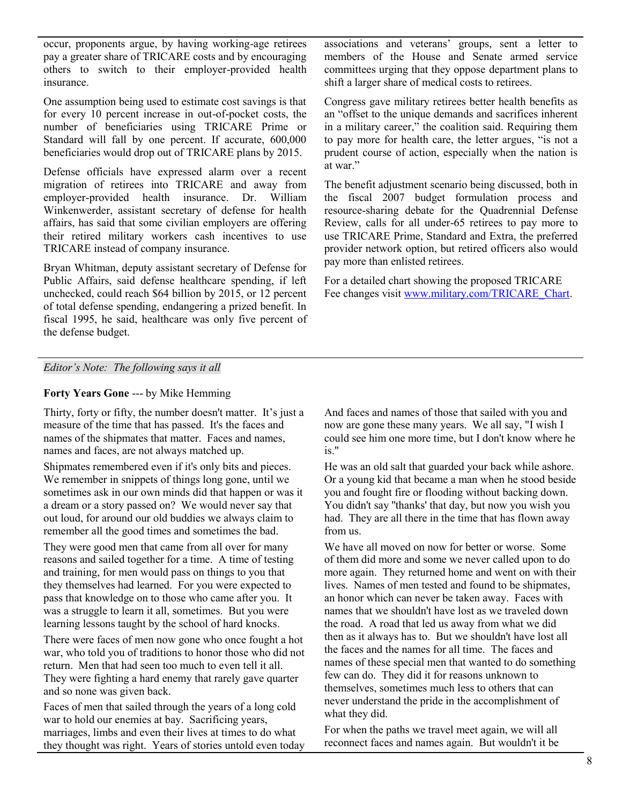occur, proponents argue, by having working-age retirees pay a greater share of TRICARE costs and by encouraging others to switch to their employer-provided health insurance.

One assumption being used to estimate cost savings is that for every 10 percent increase in out-of-pocket costs, the number of beneficiaries using TRICARE Prime or Standard will fall by one percent. If accurate, 600,000 beneficiaries would drop out of TRICARE plans by 2015.

Defense officials have expressed alarm over a recent migration of retirees into TRICARE and away from employer-provided health insurance. Dr. William Winkenwerder, assistant secretary of defense for health affairs, has said that some civilian employers are offering their retired military workers cash incentives to use TRICARE instead of company insurance.

Bryan Whitman, deputy assistant secretary of Defense for Public Affairs, said defense healthcare spending, if left unchecked, could reach \$64 billion by 2015, or 12 percent of total defense spending, endangering a prized benefit. In fiscal 1995, he said, healthcare was only five percent of the defense budget.

associations and veterans' groups, sent a letter to members of the House and Senate armed service committees urging that they oppose department plans to shift a larger share of medical costs to retirees.

Congress gave military retirees better health benefits as an "offset to the unique demands and sacrifices inherent in a military career," the coalition said. Requiring them to pay more for health care, the letter argues, "is not a prudent course of action, especially when the nation is at war."

The benefit adjustment scenario being discussed, both in the fiscal 2007 budget formulation process and resource-sharing debate for the Quadrennial Defense Review, calls for all under-65 retirees to pay more to use TRICARE Prime, Standard and Extra, the preferred provider network option, but retired officers also would pay more than enlisted retirees.

For a detailed chart showing the proposed TRICARE Fee changes visit www.military.com/TRICARE\_Chart.

### *Editor's Note: The following says it all*

#### **Forty Years Gone** --- by Mike Hemming

Thirty, forty or fifty, the number doesn't matter. It's just a measure of the time that has passed. It's the faces and names of the shipmates that matter. Faces and names, names and faces, are not always matched up.

Shipmates remembered even if it's only bits and pieces. We remember in snippets of things long gone, until we sometimes ask in our own minds did that happen or was it a dream or a story passed on? We would never say that out loud, for around our old buddies we always claim to remember all the good times and sometimes the bad.

They were good men that came from all over for many reasons and sailed together for a time. A time of testing and training, for men would pass on things to you that they themselves had learned. For you were expected to pass that knowledge on to those who came after you. It was a struggle to learn it all, sometimes. But you were learning lessons taught by the school of hard knocks.

There were faces of men now gone who once fought a hot war, who told you of traditions to honor those who did not return. Men that had seen too much to even tell it all. They were fighting a hard enemy that rarely gave quarter and so none was given back.

Faces of men that sailed through the years of a long cold war to hold our enemies at bay. Sacrificing years, marriages, limbs and even their lives at times to do what they thought was right. Years of stories untold even today And faces and names of those that sailed with you and now are gone these many years. We all say, "I wish I could see him one more time, but I don't know where he is."

He was an old salt that guarded your back while ashore. Or a young kid that became a man when he stood beside you and fought fire or flooding without backing down. You didn't say ''thanks' that day, but now you wish you had. They are all there in the time that has flown away from us.

We have all moved on now for better or worse. Some of them did more and some we never called upon to do more again. They returned home and went on with their lives. Names of men tested and found to be shipmates, an honor which can never be taken away. Faces with names that we shouldn't have lost as we traveled down the road. A road that led us away from what we did then as it always has to. But we shouldn't have lost all the faces and the names for all time. The faces and names of these special men that wanted to do something few can do. They did it for reasons unknown to themselves, sometimes much less to others that can never understand the pride in the accomplishment of what they did.

For when the paths we travel meet again, we will all reconnect faces and names again. But wouldn't it be